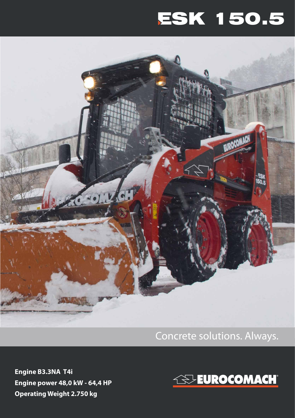## ESK 150.5



Concrete solutions. Always.

**Engine B3.3NA T4i Engine power 48,0 kW - 64,4 HP Operating Weight 2.750 kg**